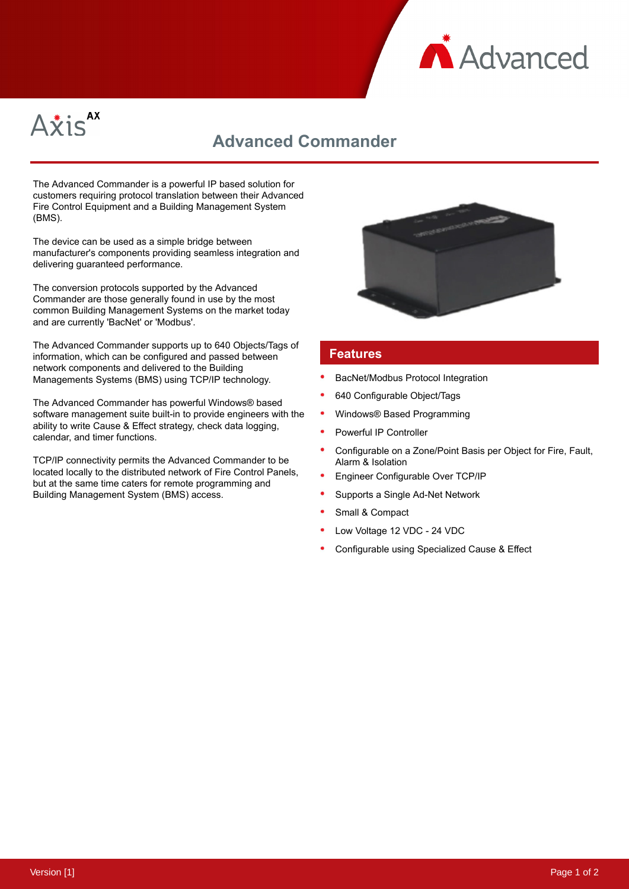



## **Advanced Commander**

The Advanced Commander is a powerful IP based solution for customers requiring protocol translation between their Advanced Fire Control Equipment and a Building Management System (BMS).

The device can be used as a simple bridge between manufacturer's components providing seamless integration and delivering guaranteed performance.

The conversion protocols supported by the Advanced Commander are those generally found in use by the most common Building Management Systems on the market today and are currently 'BacNet' or 'Modbus'.

The Advanced Commander supports up to 640 Objects/Tags of information, which can be configured and passed between network components and delivered to the Building Managements Systems (BMS) using TCP/IP technology.

The Advanced Commander has powerful Windows® based software management suite built-in to provide engineers with the ability to write Cause & Effect strategy, check data logging, calendar, and timer functions.

TCP/IP connectivity permits the Advanced Commander to be located locally to the distributed network of Fire Control Panels, but at the same time caters for remote programming and Building Management System (BMS) access.



## **Features**

- BacNet/Modbus Protocol Integration
- 640 Configurable Object/Tags
- Windows® Based Programming
- Powerful IP Controller
- Configurable on a Zone/Point Basis per Object for Fire, Fault, Alarm & Isolation
- Engineer Configurable Over TCP/IP
- Supports a Single Ad-Net Network
- Small & Compact
- Low Voltage 12 VDC 24 VDC
- Configurable using Specialized Cause & Effect